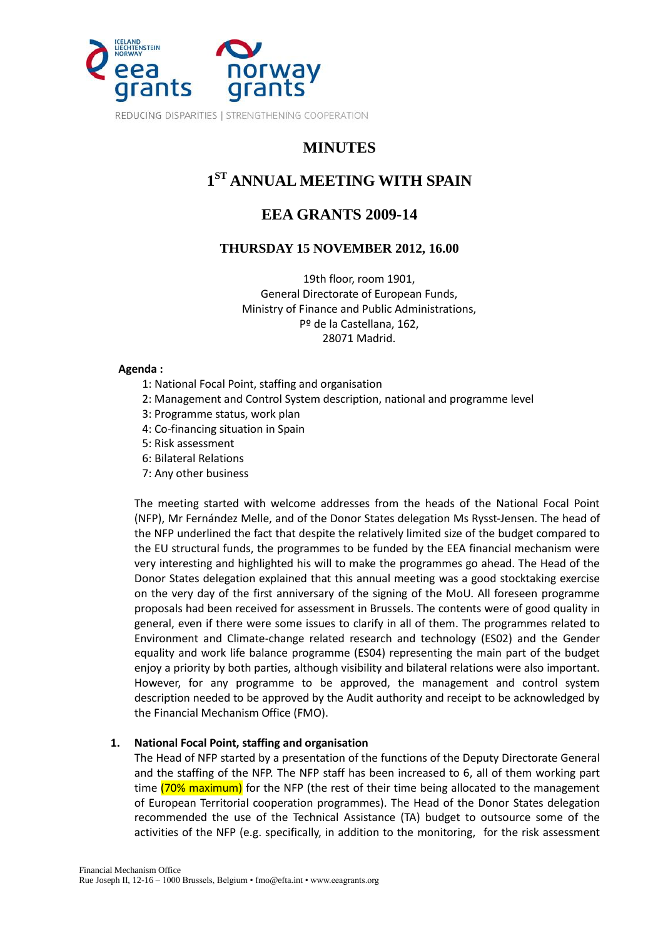

## **MINUTES**

# **1 ST ANNUAL MEETING WITH SPAIN**

## **EEA GRANTS 2009-14**

## **THURSDAY 15 NOVEMBER 2012, 16.00**

19th floor, room 1901, General Directorate of European Funds, Ministry of Finance and Public Administrations, Pº de la Castellana, 162, 28071 Madrid.

#### **Agenda :**

- 1: National Focal Point, staffing and organisation
- 2: Management and Control System description, national and programme level
- 3: Programme status, work plan
- 4: Co-financing situation in Spain
- 5: Risk assessment
- 6: Bilateral Relations
- 7: Any other business

The meeting started with welcome addresses from the heads of the National Focal Point (NFP), Mr Fernández Melle, and of the Donor States delegation Ms Rysst-Jensen. The head of the NFP underlined the fact that despite the relatively limited size of the budget compared to the EU structural funds, the programmes to be funded by the EEA financial mechanism were very interesting and highlighted his will to make the programmes go ahead. The Head of the Donor States delegation explained that this annual meeting was a good stocktaking exercise on the very day of the first anniversary of the signing of the MoU. All foreseen programme proposals had been received for assessment in Brussels. The contents were of good quality in general, even if there were some issues to clarify in all of them. The programmes related to Environment and Climate-change related research and technology (ES02) and the Gender equality and work life balance programme (ES04) representing the main part of the budget enjoy a priority by both parties, although visibility and bilateral relations were also important. However, for any programme to be approved, the management and control system description needed to be approved by the Audit authority and receipt to be acknowledged by the Financial Mechanism Office (FMO).

## **1. National Focal Point, staffing and organisation**

The Head of NFP started by a presentation of the functions of the Deputy Directorate General and the staffing of the NFP. The NFP staff has been increased to 6, all of them working part time (70% maximum) for the NFP (the rest of their time being allocated to the management of European Territorial cooperation programmes). The Head of the Donor States delegation recommended the use of the Technical Assistance (TA) budget to outsource some of the activities of the NFP (e.g. specifically, in addition to the monitoring, for the risk assessment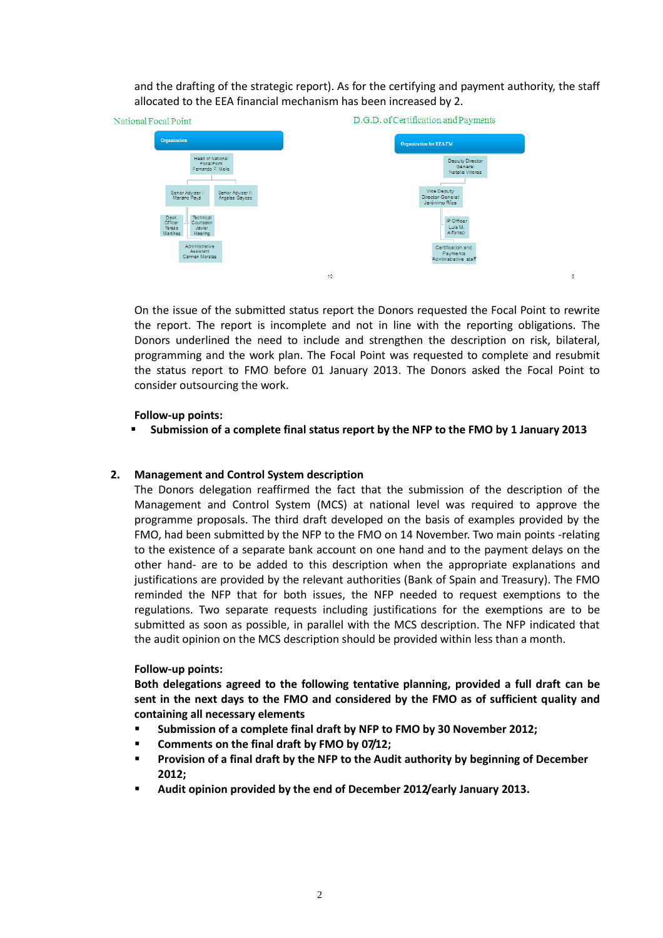and the drafting of the strategic report). As for the certifying and payment authority, the staff allocated to the EEA financial mechanism has been increased by 2.



On the issue of the submitted status report the Donors requested the Focal Point to rewrite the report. The report is incomplete and not in line with the reporting obligations. The Donors underlined the need to include and strengthen the description on risk, bilateral, programming and the work plan. The Focal Point was requested to complete and resubmit the status report to FMO before 01 January 2013. The Donors asked the Focal Point to consider outsourcing the work.

#### **Follow-up points:**

**Submission of a complete final status report by the NFP to the FMO by 1 January 2013**

#### **2. Management and Control System description**

The Donors delegation reaffirmed the fact that the submission of the description of the Management and Control System (MCS) at national level was required to approve the programme proposals. The third draft developed on the basis of examples provided by the FMO, had been submitted by the NFP to the FMO on 14 November. Two main points -relating to the existence of a separate bank account on one hand and to the payment delays on the other hand- are to be added to this description when the appropriate explanations and justifications are provided by the relevant authorities (Bank of Spain and Treasury). The FMO reminded the NFP that for both issues, the NFP needed to request exemptions to the regulations. Two separate requests including justifications for the exemptions are to be submitted as soon as possible, in parallel with the MCS description. The NFP indicated that the audit opinion on the MCS description should be provided within less than a month.

#### **Follow-up points:**

**Both delegations agreed to the following tentative planning, provided a full draft can be sent in the next days to the FMO and considered by the FMO as of sufficient quality and containing all necessary elements**

- **Submission of a complete final draft by NFP to FMO by 30 November 2012;**
- **Comments on the final draft by FMO by 07/12;**
- **Provision of a final draft by the NFP to the Audit authority by beginning of December 2012;**
- **Audit opinion provided by the end of December 2012/early January 2013.**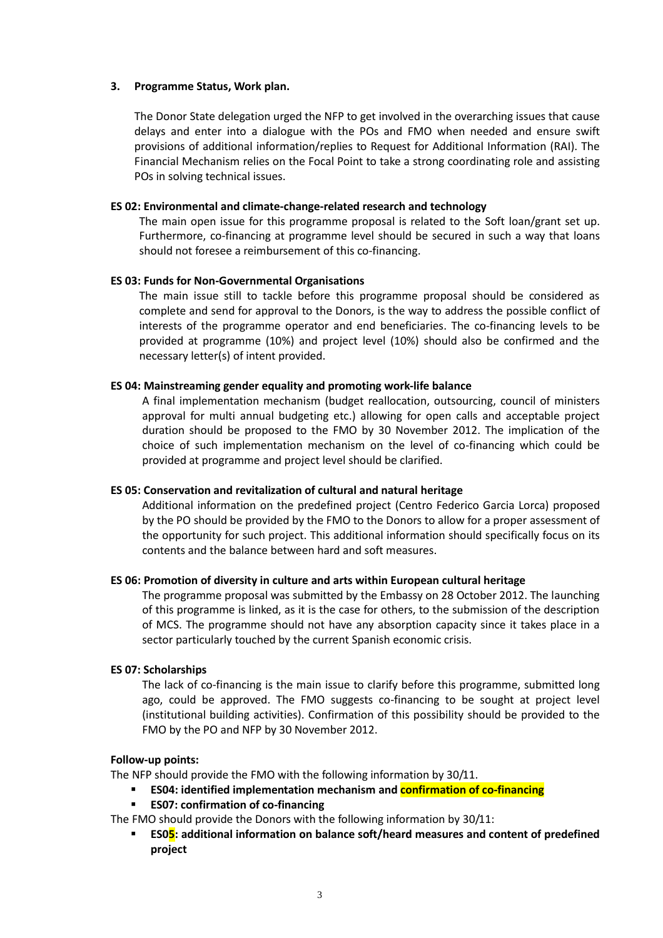#### **3. Programme Status, Work plan.**

The Donor State delegation urged the NFP to get involved in the overarching issues that cause delays and enter into a dialogue with the POs and FMO when needed and ensure swift provisions of additional information/replies to Request for Additional Information (RAI). The Financial Mechanism relies on the Focal Point to take a strong coordinating role and assisting POs in solving technical issues.

#### **ES 02: Environmental and climate-change-related research and technology**

The main open issue for this programme proposal is related to the Soft loan/grant set up. Furthermore, co-financing at programme level should be secured in such a way that loans should not foresee a reimbursement of this co-financing.

#### **ES 03: Funds for Non-Governmental Organisations**

The main issue still to tackle before this programme proposal should be considered as complete and send for approval to the Donors, is the way to address the possible conflict of interests of the programme operator and end beneficiaries. The co-financing levels to be provided at programme (10%) and project level (10%) should also be confirmed and the necessary letter(s) of intent provided.

#### **ES 04: Mainstreaming gender equality and promoting work-life balance**

A final implementation mechanism (budget reallocation, outsourcing, council of ministers approval for multi annual budgeting etc.) allowing for open calls and acceptable project duration should be proposed to the FMO by 30 November 2012. The implication of the choice of such implementation mechanism on the level of co-financing which could be provided at programme and project level should be clarified.

#### **ES 05: Conservation and revitalization of cultural and natural heritage**

Additional information on the predefined project (Centro Federico Garcia Lorca) proposed by the PO should be provided by the FMO to the Donors to allow for a proper assessment of the opportunity for such project. This additional information should specifically focus on its contents and the balance between hard and soft measures.

#### **ES 06: Promotion of diversity in culture and arts within European cultural heritage**

The programme proposal was submitted by the Embassy on 28 October 2012. The launching of this programme is linked, as it is the case for others, to the submission of the description of MCS. The programme should not have any absorption capacity since it takes place in a sector particularly touched by the current Spanish economic crisis.

#### **ES 07: Scholarships**

The lack of co-financing is the main issue to clarify before this programme, submitted long ago, could be approved. The FMO suggests co-financing to be sought at project level (institutional building activities). Confirmation of this possibility should be provided to the FMO by the PO and NFP by 30 November 2012.

#### **Follow-up points:**

The NFP should provide the FMO with the following information by 30/11.

- **ES04: identified implementation mechanism and confirmation of co-financing**
- **ES07: confirmation of co-financing**

The FMO should provide the Donors with the following information by 30/11:

**ESO<sub>5</sub>: additional information on balance soft/heard measures and content of predefined project**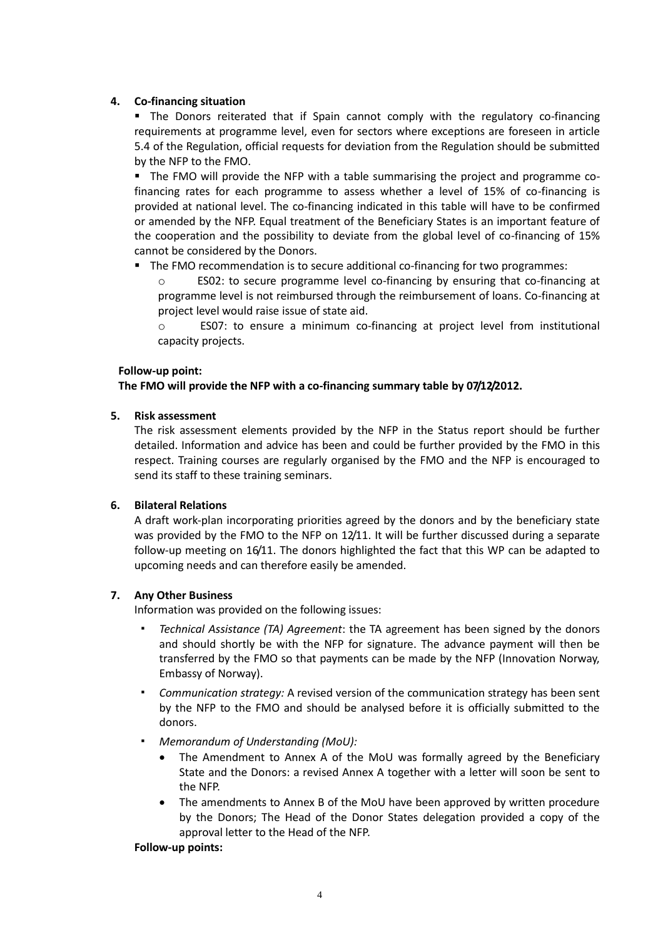#### **4. Co-financing situation**

 The Donors reiterated that if Spain cannot comply with the regulatory co-financing requirements at programme level, even for sectors where exceptions are foreseen in article 5.4 of the Regulation, official requests for deviation from the Regulation should be submitted by the NFP to the FMO.

The FMO will provide the NFP with a table summarising the project and programme cofinancing rates for each programme to assess whether a level of 15% of co-financing is provided at national level. The co-financing indicated in this table will have to be confirmed or amended by the NFP. Equal treatment of the Beneficiary States is an important feature of the cooperation and the possibility to deviate from the global level of co-financing of 15% cannot be considered by the Donors.

The FMO recommendation is to secure additional co-financing for two programmes:

o ES02: to secure programme level co-financing by ensuring that co-financing at programme level is not reimbursed through the reimbursement of loans. Co-financing at project level would raise issue of state aid.

o ES07: to ensure a minimum co-financing at project level from institutional capacity projects.

#### **Follow-up point:**

#### **The FMO will provide the NFP with a co-financing summary table by 07/12/2012.**

#### **5. Risk assessment**

The risk assessment elements provided by the NFP in the Status report should be further detailed. Information and advice has been and could be further provided by the FMO in this respect. Training courses are regularly organised by the FMO and the NFP is encouraged to send its staff to these training seminars.

#### **6. Bilateral Relations**

A draft work-plan incorporating priorities agreed by the donors and by the beneficiary state was provided by the FMO to the NFP on 12/11. It will be further discussed during a separate follow-up meeting on 16/11. The donors highlighted the fact that this WP can be adapted to upcoming needs and can therefore easily be amended.

## **7. Any Other Business**

Information was provided on the following issues:

- *Technical Assistance (TA) Agreement*: the TA agreement has been signed by the donors and should shortly be with the NFP for signature. The advance payment will then be transferred by the FMO so that payments can be made by the NFP (Innovation Norway, Embassy of Norway).
- *Communication strategy:* A revised version of the communication strategy has been sent by the NFP to the FMO and should be analysed before it is officially submitted to the donors.
- *Memorandum of Understanding (MoU):*
	- The Amendment to Annex A of the MoU was formally agreed by the Beneficiary State and the Donors: a revised Annex A together with a letter will soon be sent to the NFP.
	- The amendments to Annex B of the MoU have been approved by written procedure by the Donors; The Head of the Donor States delegation provided a copy of the approval letter to the Head of the NFP.

#### **Follow-up points:**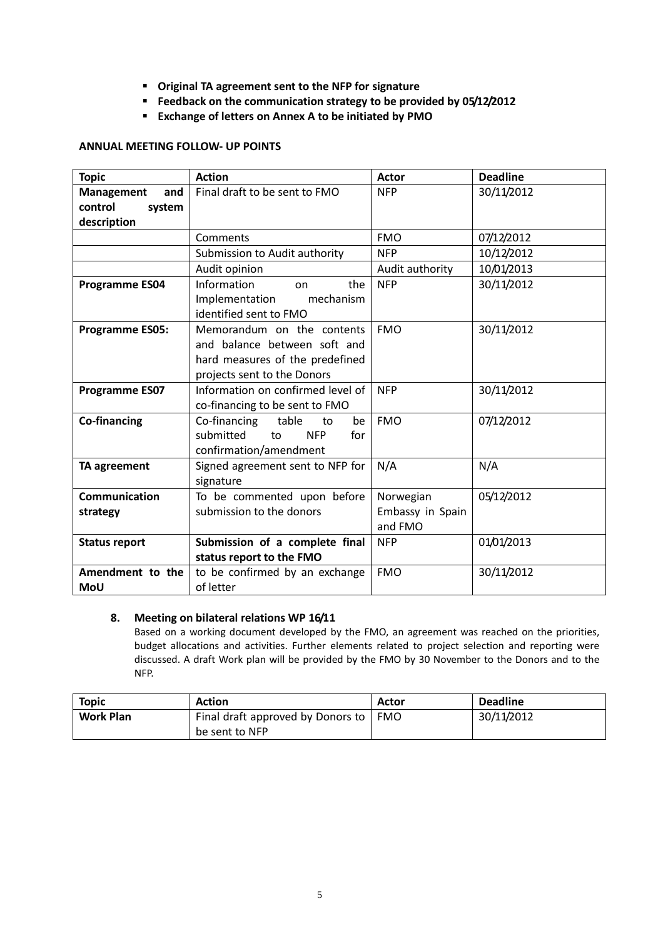- **Original TA agreement sent to the NFP for signature**
- **Feedback on the communication strategy to be provided by 05/12/2012**
- **Exchange of letters on Annex A to be initiated by PMO**

#### **ANNUAL MEETING FOLLOW- UP POINTS**

| <b>Topic</b>             | <b>Action</b>                        | <b>Actor</b>     | <b>Deadline</b> |
|--------------------------|--------------------------------------|------------------|-----------------|
| <b>Management</b><br>and | Final draft to be sent to FMO        | <b>NFP</b>       | 30/11/2012      |
| control<br>system        |                                      |                  |                 |
| description              |                                      |                  |                 |
|                          | Comments                             | <b>FMO</b>       | 07/12/2012      |
|                          | Submission to Audit authority        | <b>NFP</b>       | 10/12/2012      |
|                          | Audit opinion                        | Audit authority  | 10/01/2013      |
| <b>Programme ES04</b>    | Information<br>the<br>on             | <b>NFP</b>       | 30/11/2012      |
|                          | mechanism<br>Implementation          |                  |                 |
|                          | identified sent to FMO               |                  |                 |
| <b>Programme ES05:</b>   | Memorandum on the contents           | <b>FMO</b>       | 30/11/2012      |
|                          | and balance between soft and         |                  |                 |
|                          | hard measures of the predefined      |                  |                 |
|                          | projects sent to the Donors          |                  |                 |
| <b>Programme ES07</b>    | Information on confirmed level of    | <b>NFP</b>       | 30/11/2012      |
|                          | co-financing to be sent to FMO       |                  |                 |
| <b>Co-financing</b>      | Co-financing<br>table<br>to<br>be    | <b>FMO</b>       | 07/12/2012      |
|                          | submitted<br><b>NFP</b><br>to<br>for |                  |                 |
|                          | confirmation/amendment               |                  |                 |
| <b>TA agreement</b>      | Signed agreement sent to NFP for     | N/A              | N/A             |
|                          | signature                            |                  |                 |
| <b>Communication</b>     | To be commented upon before          | Norwegian        | 05/12/2012      |
| strategy                 | submission to the donors             | Embassy in Spain |                 |
|                          |                                      | and FMO          |                 |
| <b>Status report</b>     | Submission of a complete final       | <b>NFP</b>       | 01/01/2013      |
|                          | status report to the FMO             |                  |                 |
| Amendment to the         | to be confirmed by an exchange       | <b>FMO</b>       | 30/11/2012      |
| <b>MoU</b>               | of letter                            |                  |                 |

#### **8. Meeting on bilateral relations WP 16/11**

Based on a working document developed by the FMO, an agreement was reached on the priorities, budget allocations and activities. Further elements related to project selection and reporting were discussed. A draft Work plan will be provided by the FMO by 30 November to the Donors and to the NFP.

| <b>Topic</b>     | <b>Action</b>                     | Actor | <b>Deadline</b> |
|------------------|-----------------------------------|-------|-----------------|
| <b>Work Plan</b> | Final draft approved by Donors to | FMO   | 30/11/2012      |
|                  | be sent to NFP                    |       |                 |